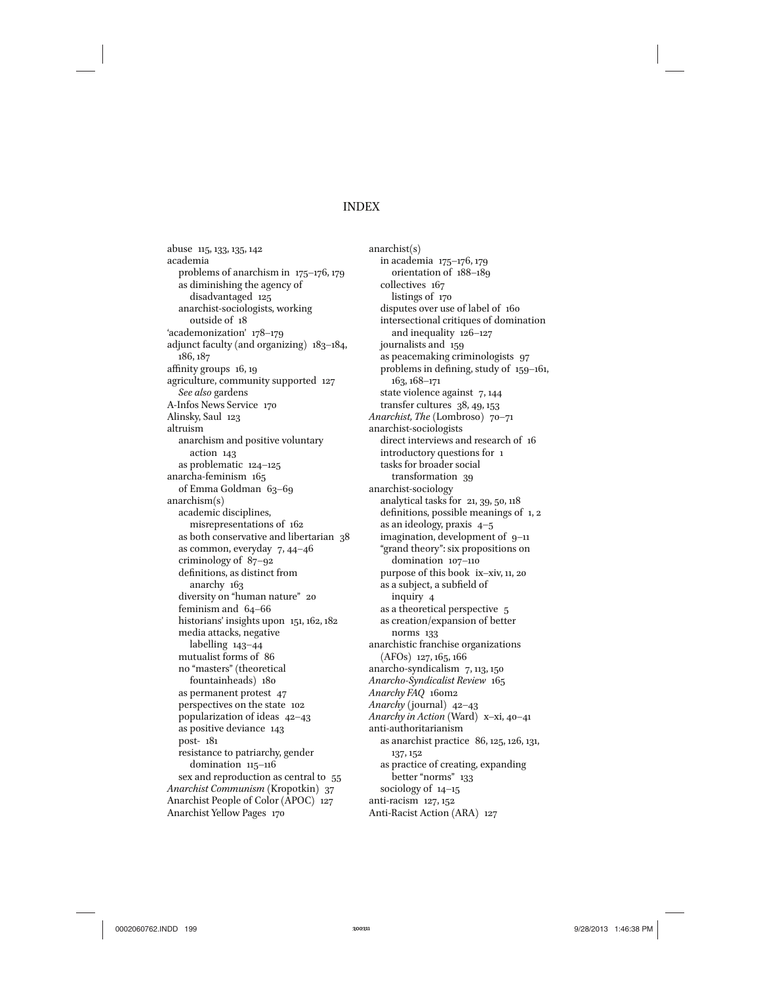#### INDEX

abuse 115, 133, 135, 142 academia problems of anarchism in 175–176, 179 as diminishing the agency of disadvantaged 125 anarchist-sociologists, working outside of 18 'academonization' 178–179 adjunct faculty (and organizing) 183–184, 186, 187 affinity groups 16, 19 agriculture, community supported 127 *See also* gardens A-Infos News Service 170 Alinsky, Saul 123 altruism anarchism and positive voluntary action 143 as problematic 124–125 anarcha-feminism 165 of Emma Goldman 63–69 anarchism(s) academic disciplines, misrepresentations of 162 as both conservative and libertarian 38 as common, everyday 7, 44–46 criminology of 87–92 definitions, as distinct from anarchy 163 diversity on "human nature" 20 feminism and 64–66 historians' insights upon 151, 162, 182 media attacks, negative labelling 143–44 mutualist forms of 86 no "masters" (theoretical fountainheads) 180 as permanent protest 47 perspectives on the state 102 popularization of ideas 42–43 as positive deviance 143 post- 181 resistance to patriarchy, gender domination 115-116 sex and reproduction as central to 55 *Anarchist Communism* (Kropotkin) 37 Anarchist People of Color (APOC) 127 Anarchist Yellow Pages 170

anarchist(s) in academia 175–176, 179 orientation of 188–189 collectives 167 listings of 170 disputes over use of label of 160 intersectional critiques of domination and inequality 126–127 journalists and 159 as peacemaking criminologists 97 problems in defining, study of 159–161, 163, 168–171 state violence against 7, 144 transfer cultures 38, 49, 153 *Anarchist, The* (Lombroso) 70–71 anarchist-sociologists direct interviews and research of 16 introductory questions for 1 tasks for broader social transformation 39 anarchist-sociology analytical tasks for 21, 39, 50, 118 definitions, possible meanings of 1, 2 as an ideology, praxis 4–5 imagination, development of 9–11 "grand theory": six propositions on domination 107–110 purpose of this book ix–xiv, 11, 20 as a subject, a subfield of inquiry 4 as a theoretical perspective 5 as creation/expansion of better norms 133 anarchistic franchise organizations (AFOs) 127, 165, 166 anarcho-syndicalism 7, 113, 150 *Anarcho-Syndicalist Review* 165 *Anarchy FAQ* 160m2 *Anarchy* (journal) 42–43 *Anarchy in Action* (Ward) x–xi, 40–41 anti-authoritarianism as anarchist practice 86, 125, 126, 131, 137, 152 as practice of creating, expanding better "norms" 133 sociology of 14–15 anti-racism 127, 152 Anti-Racist Action (ARA) 127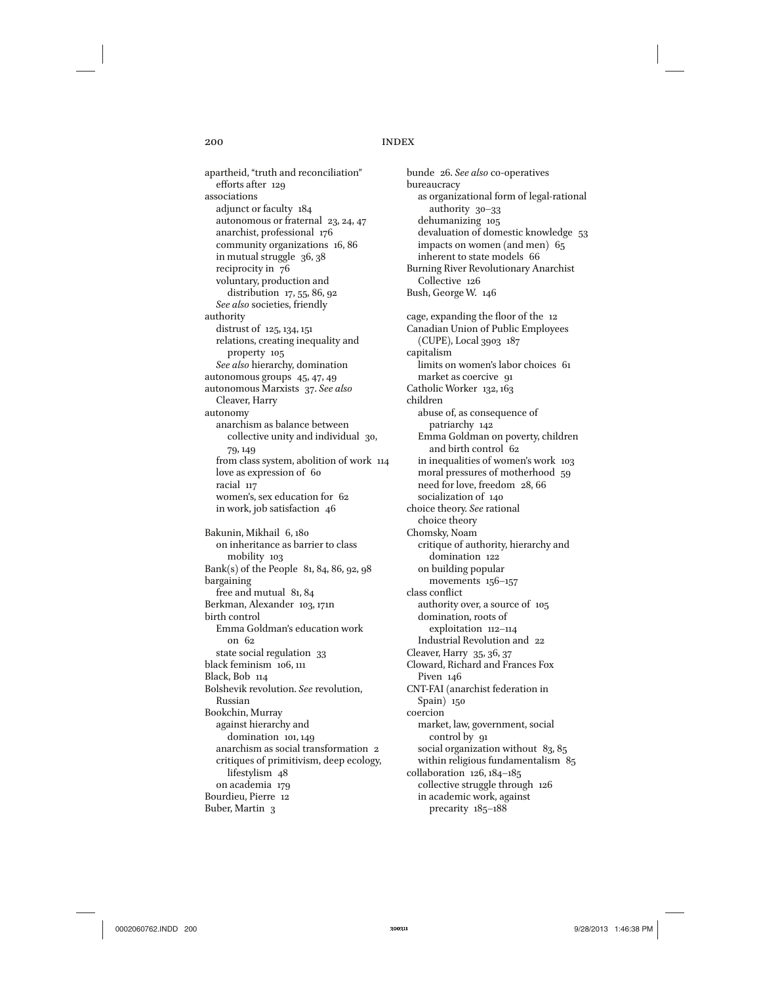## 200 INDEX

apartheid, "truth and reconciliation" efforts after 129 associations adjunct or faculty 184 autonomous or fraternal 23, 24, 47 anarchist, professional 176 community organizations 16, 86 in mutual struggle 36, 38 reciprocity in 76 voluntary, production and distribution 17, 55, 86, 92 *See also* societies, friendly authority distrust of 125, 134, 151 relations, creating inequality and property 105 *See also* hierarchy, domination autonomous groups 45, 47, 49 autonomous Marxists 37. *See also* Cleaver, Harry autonomy anarchism as balance between collective unity and individual 30, 79, 149 from class system, abolition of work 114 love as expression of 60 racial 117 women's, sex education for 62 in work, job satisfaction 46 Bakunin, Mikhail 6, 180 on inheritance as barrier to class mobility 103 Bank(s) of the People 81, 84, 86, 92, 98 bargaining free and mutual 81, 84 Berkman, Alexander 103, 171n birth control Emma Goldman's education work on 62 state social regulation 33 black feminism 106, 111 Black, Bob 114 Bolshevik revolution. *See* revolution, Russian Bookchin, Murray against hierarchy and domination 101, 149 anarchism as social transformation 2 critiques of primitivism, deep ecology, lifestylism 48 on academia 179 Bourdieu, Pierre 12 Buber, Martin 3

bunde 26. *See also* co-operatives bureaucracy as organizational form of legal-rational authority 30–33 dehumanizing 105 devaluation of domestic knowledge 53 impacts on women (and men) 65 inherent to state models 66 Burning River Revolutionary Anarchist Collective 126 Bush, George W. 146 cage, expanding the floor of the 12 Canadian Union of Public Employees (CUPE), Local 3903 187 capitalism limits on women's labor choices 61 market as coercive 91 Catholic Worker 132, 163 children abuse of, as consequence of patriarchy 142 Emma Goldman on poverty, children and birth control 62 in inequalities of women's work 103 moral pressures of motherhood 59 need for love, freedom 28, 66 socialization of 140 choice theory. *See* rational choice theory Chomsky, Noam critique of authority, hierarchy and domination 122 on building popular movements 156–157 class conflict authority over, a source of 105 domination, roots of exploitation 112–114 Industrial Revolution and 22 Cleaver, Harry 35, 36, 37 Cloward, Richard and Frances Fox Piven 146 CNT-FAI (anarchist federation in Spain) 150 coercion market, law, government, social control by 91 social organization without 83, 85 within religious fundamentalism 85 collaboration 126, 184–185 collective struggle through 126 in academic work, against precarity 185–188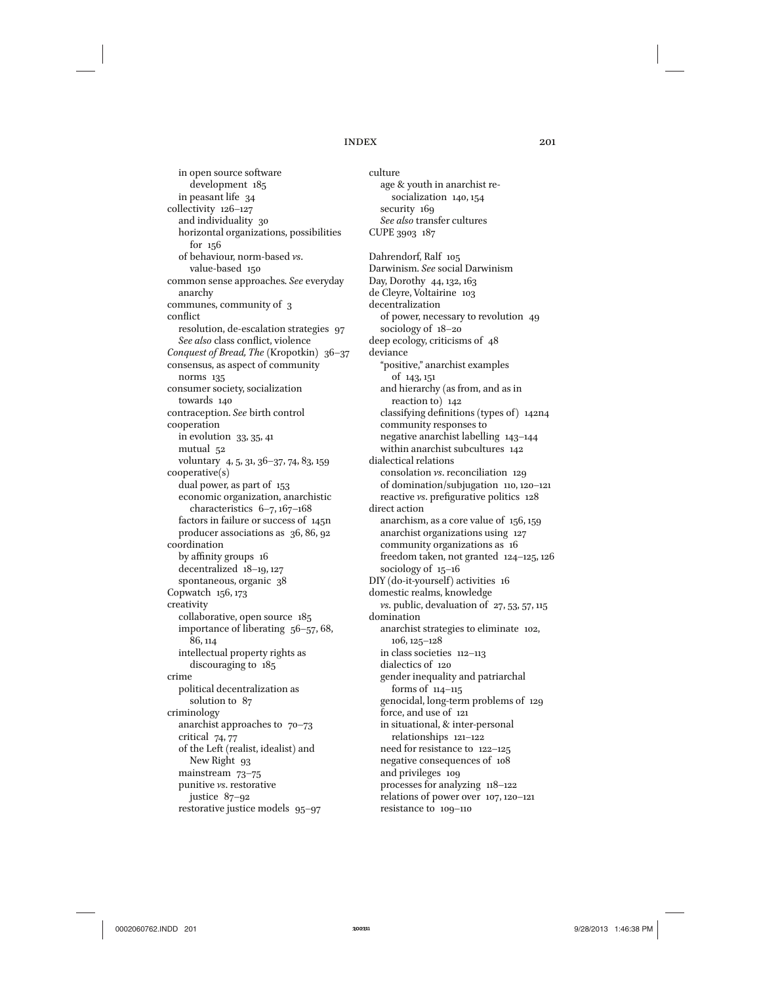in open source software development 185 in peasant life 34 collectivity 126–127 and individuality 30 horizontal organizations, possibilities for 156 of behaviour, norm-based *vs*. value-based 150 common sense approaches. *See* everyday anarchy communes, community of 3 conflict resolution, de-escalation strategies 97 *See also* class conflict, violence *Conquest of Bread, The* (Kropotkin) 36–37 consensus, as aspect of community norms 135 consumer society, socialization towards 140 contraception. *See* birth control cooperation in evolution 33, 35, 41 mutual 52 voluntary 4, 5, 31, 36–37, 74, 83, 159 cooperative(s) dual power, as part of 153 economic organization, anarchistic characteristics 6–7, 167–168 factors in failure or success of 145n producer associations as 36, 86, 92 coordination by affinity groups 16 decentralized 18–19, 127 spontaneous, organic 38 Copwatch 156, 173 creativity collaborative, open source 185 importance of liberating 56–57, 68, 86, 114 intellectual property rights as discouraging to 185 crime political decentralization as solution to 87 criminology anarchist approaches to  $70-73$ critical 74, 77 of the Left (realist, idealist) and New Right 93 mainstream 73–75 punitive *vs*. restorative justice 87–92 restorative justice models 95–97

culture age & youth in anarchist resocialization 140, 154 security 169 *See also* transfer cultures CUPE 3903 187 Dahrendorf, Ralf 105 Darwinism. *See* social Darwinism Day, Dorothy 44, 132, 163

de Cleyre, Voltairine 103 decentralization of power, necessary to revolution 49 sociology of 18–20 deep ecology, criticisms of 48 deviance "positive," anarchist examples of 143, 151 and hierarchy (as from, and as in reaction to) 142 classifying definitions (types of) 142n4 community responses to negative anarchist labelling 143–144 within anarchist subcultures 142 dialectical relations consolation *vs*. reconciliation 129 of domination/subjugation 110, 120–121 reactive *vs*. prefigurative politics 128 direct action anarchism, as a core value of 156, 159 anarchist organizations using 127 community organizations as 16 freedom taken, not granted 124–125, 126 sociology of 15–16 DIY (do-it-yourself) activities 16 domestic realms, knowledge *vs*. public, devaluation of 27, 53, 57, 115 domination anarchist strategies to eliminate 102, 106, 125–128 in class societies 112–113 dialectics of 120 gender inequality and patriarchal forms of 114–115 genocidal, long-term problems of 129 force, and use of 121 in situational, & inter-personal relationships 121–122 need for resistance to 122–125 negative consequences of 108 and privileges 109 processes for analyzing 118–122 relations of power over 107, 120–121

resistance to 109–110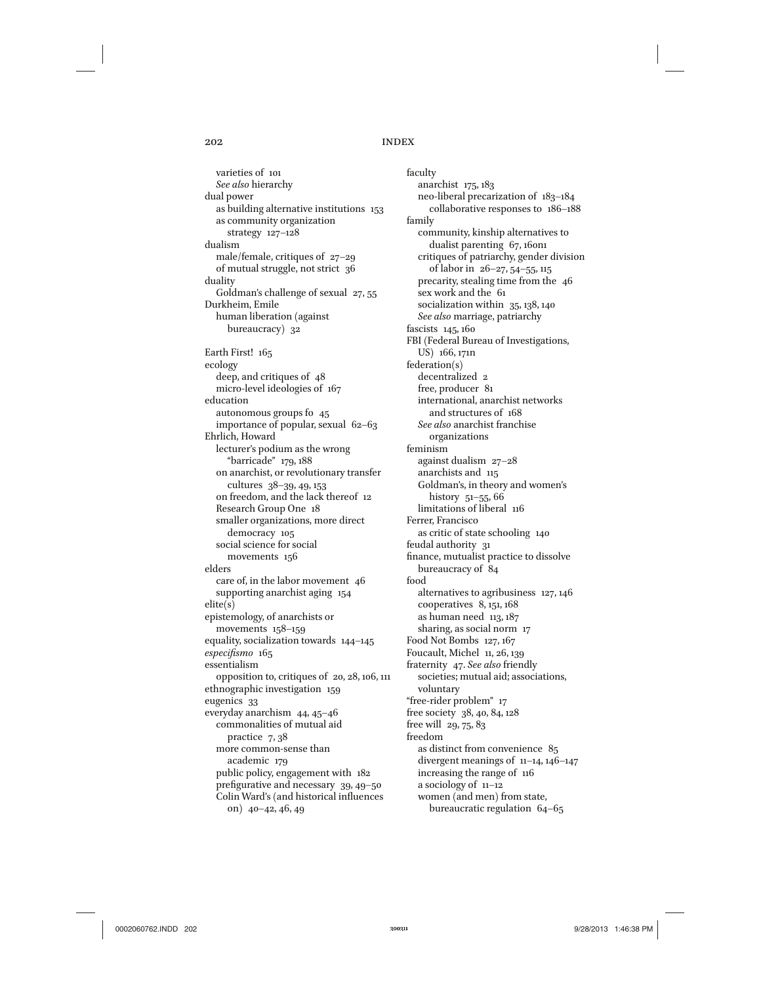varieties of 101 *See also* hierarchy dual power as building alternative institutions 153 as community organization strategy 127–128 dualism male/female, critiques of 27–29 of mutual struggle, not strict 36 duality Goldman's challenge of sexual 27, 55 Durkheim, Emile human liberation (against bureaucracy) 32 Earth First! 165 ecology deep, and critiques of 48 micro-level ideologies of 167 education autonomous groups fo 45 importance of popular, sexual 62–63 Ehrlich, Howard lecturer's podium as the wrong "barricade" 179, 188 on anarchist, or revolutionary transfer cultures 38–39, 49, 153 on freedom, and the lack thereof 12 Research Group One 18 smaller organizations, more direct democracy 105 social science for social movements 156 elders care of, in the labor movement 46 supporting anarchist aging 154 elite(s) epistemology, of anarchists or movements 158–159 equality, socialization towards 144–145 *especifismo* 165 essentialism opposition to, critiques of 20, 28, 106, 111 ethnographic investigation 159 eugenics 33 everyday anarchism 44, 45–46 commonalities of mutual aid practice 7, 38 more common-sense than academic 179 public policy, engagement with 182 prefigurative and necessary 39, 49–50 Colin Ward's (and historical influences on) 40–42, 46, 49

faculty anarchist 175, 183 neo-liberal precarization of 183–184 collaborative responses to 186–188 family community, kinship alternatives to dualist parenting 67, 160n1 critiques of patriarchy, gender division of labor in 26–27, 54–55, 115 precarity, stealing time from the 46 sex work and the 61 socialization within 35, 138, 140 *See also* marriage, patriarchy fascists 145, 160 FBI (Federal Bureau of Investigations, US) 166, 171n federation(s) decentralized 2 free, producer 81 international, anarchist networks and structures of 168 *See also* anarchist franchise organizations feminism against dualism 27–28 anarchists and 115 Goldman's, in theory and women's history 51–55, 66 limitations of liberal 116 Ferrer, Francisco as critic of state schooling 140 feudal authority 31 finance, mutualist practice to dissolve bureaucracy of 84 food alternatives to agribusiness 127, 146 cooperatives 8, 151, 168 as human need 113, 187 sharing, as social norm 17 Food Not Bombs 127, 167 Foucault, Michel 11, 26, 139 fraternity 47. *See also* friendly societies; mutual aid; associations, voluntary "free-rider problem" 17 free society 38, 40, 84, 128 free will 29, 75, 83 freedom as distinct from convenience 85 divergent meanings of 11–14, 146–147 increasing the range of 116 a sociology of 11–12 women (and men) from state, bureaucratic regulation 64–65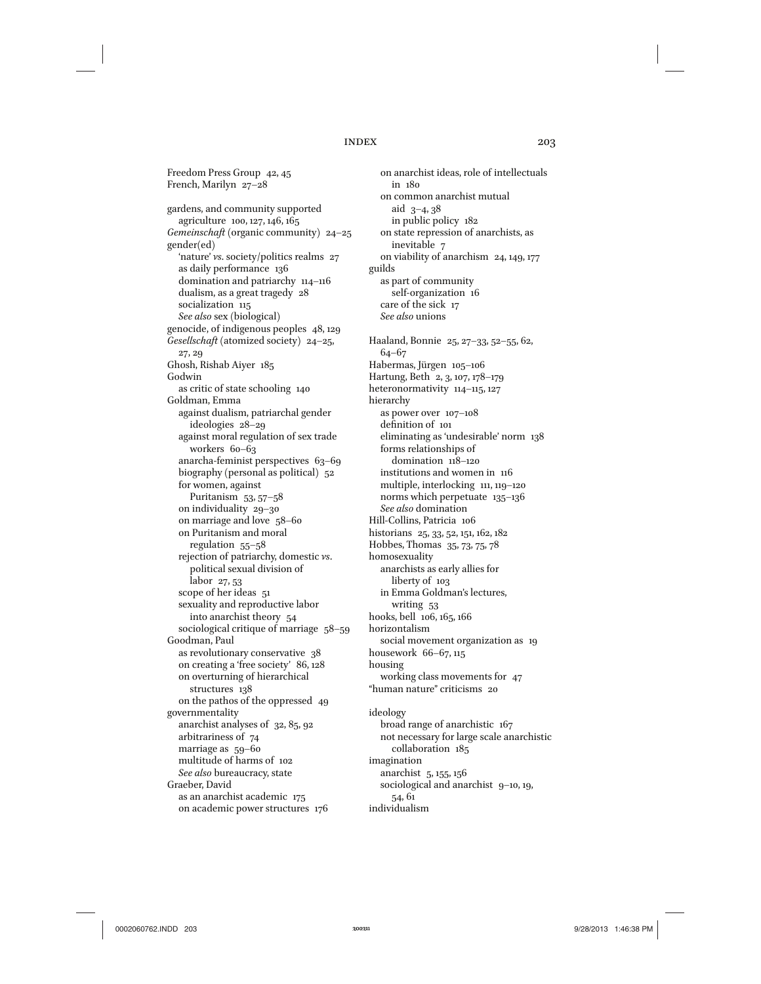Freedom Press Group 42, 45 French, Marilyn 27–28 gardens, and community supported agriculture 100, 127, 146, 165 *Gemeinschaft* (organic community) 24–25 gender(ed) 'nature' *vs*. society/politics realms 27 as daily performance 136 domination and patriarchy 114–116 dualism, as a great tragedy 28 socialization 115 *See also* sex (biological) genocide, of indigenous peoples 48, 129 *Gesellschaft* (atomized society) 24–25, 27, 29 Ghosh, Rishab Aiyer 185 Godwin as critic of state schooling 140 Goldman, Emma against dualism, patriarchal gender ideologies 28–29 against moral regulation of sex trade workers 60–63 anarcha-feminist perspectives 63–69 biography (personal as political) 52 for women, against Puritanism 53, 57–58 on individuality 29–30 on marriage and love 58–60 on Puritanism and moral regulation 55–58 rejection of patriarchy, domestic *vs*. political sexual division of labor 27, 53 scope of her ideas 51 sexuality and reproductive labor into anarchist theory 54 sociological critique of marriage 58–59 Goodman, Paul as revolutionary conservative 38 on creating a 'free society' 86, 128 on overturning of hierarchical structures 138 on the pathos of the oppressed 49 governmentality anarchist analyses of 32, 85, 92 arbitrariness of 74 marriage as 59–60 multitude of harms of 102 *See also* bureaucracy, state Graeber, David as an anarchist academic 175 on academic power structures 176

on anarchist ideas, role of intellectuals in 180 on common anarchist mutual aid 3–4, 38 in public policy 182 on state repression of anarchists, as inevitable 7 on viability of anarchism 24, 149, 177 guilds as part of community self-organization 16 care of the sick 17 *See also* unions Haaland, Bonnie 25, 27–33, 52–55, 62, 64–67 Habermas, Jürgen 105–106 Hartung, Beth 2, 3, 107, 178–179 heteronormativity 114–115, 127 hierarchy as power over 107–108 definition of 101 eliminating as 'undesirable' norm 138 forms relationships of domination 118–120 institutions and women in 116 multiple, interlocking 111, 119–120 norms which perpetuate 135–136 *See also* domination Hill-Collins, Patricia 106 historians 25, 33, 52, 151, 162, 182 Hobbes, Thomas 35, 73, 75, 78 homosexuality anarchists as early allies for liberty of 103 in Emma Goldman's lectures, writing 53 hooks, bell 106, 165, 166 horizontalism social movement organization as 19 housework 66–67, 115 housing working class movements for 47 "human nature" criticisms 20 ideology broad range of anarchistic 167 not necessary for large scale anarchistic collaboration 185 imagination

anarchist 5, 155, 156 sociological and anarchist 9-10, 19, 54, 61 individualism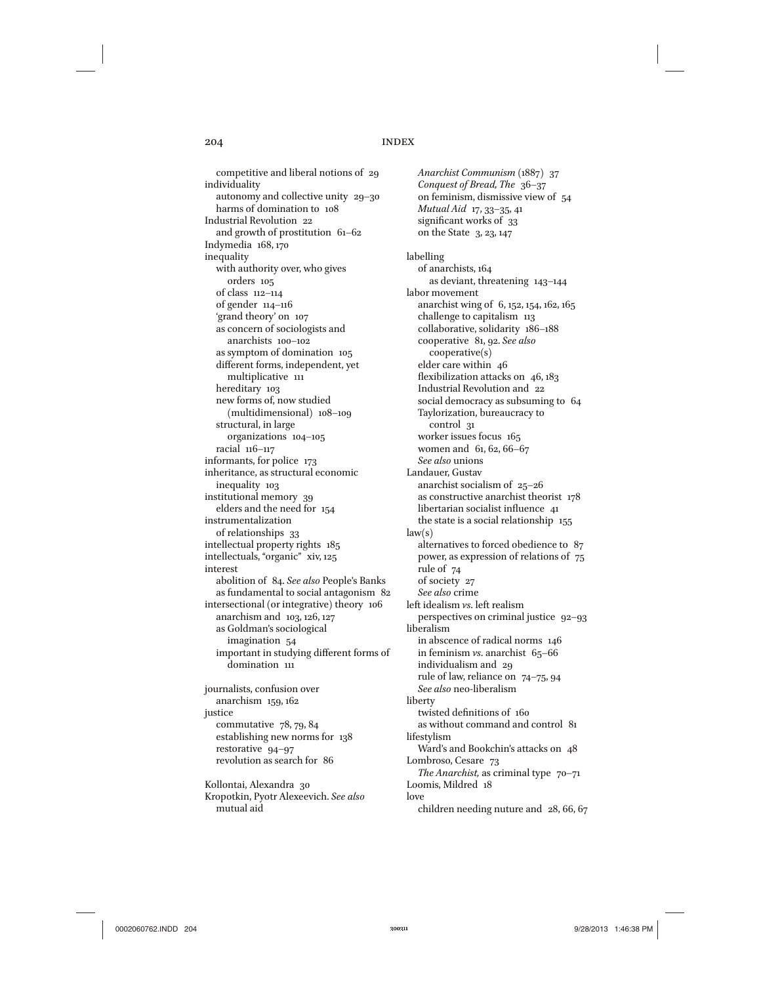competitive and liberal notions of 29 individuality autonomy and collective unity 29–30 harms of domination to 108 Industrial Revolution 22 and growth of prostitution 61–62 Indymedia 168, 170 inequality with authority over, who gives orders 105 of class 112–114 of gender 114–116 'grand theory' on 107 as concern of sociologists and anarchists 100–102 as symptom of domination 105 different forms, independent, yet multiplicative 111 hereditary 103 new forms of, now studied (multidimensional) 108–109 structural, in large organizations 104–105 racial 116–117 informants, for police 173 inheritance, as structural economic inequality 103 institutional memory 39 elders and the need for 154 instrumentalization of relationships 33 intellectual property rights 185 intellectuals, "organic" xiv, 125 interest abolition of 84. *See also* People's Banks as fundamental to social antagonism 82 intersectional (or integrative) theory 106 anarchism and 103, 126, 127 as Goldman's sociological imagination 54 important in studying different forms of domination 111 journalists, confusion over anarchism 159, 162 justice commutative 78, 79, 84 establishing new norms for 138 restorative 94–97 revolution as search for 86

Kollontai, Alexandra 30 Kropotkin, Pyotr Alexeevich. *See also* mutual aid

*Anarchist Communism* (1887) 37 *Conquest of Bread, The* 36–37 on feminism, dismissive view of 54 *Mutual Aid* 17, 33–35, 41 significant works of 33 on the State 3, 23, 147 labelling of anarchists, 164 as deviant, threatening 143–144 labor movement anarchist wing of 6, 152, 154, 162, 165 challenge to capitalism 113 collaborative, solidarity 186–188 cooperative 81, 92. *See also* cooperative(s) elder care within 46 flexibilization attacks on 46, 183 Industrial Revolution and 22 social democracy as subsuming to 64 Taylorization, bureaucracy to control 31 worker issues focus 165 women and 61, 62, 66–67 *See also* unions Landauer, Gustav anarchist socialism of 25–26 as constructive anarchist theorist 178 libertarian socialist influence 41 the state is a social relationship 155  $law(s)$ alternatives to forced obedience to 87 power, as expression of relations of 75 rule of 74 of society 27 *See also* crime left idealism *vs*. left realism perspectives on criminal justice 92–93 liberalism in abscence of radical norms 146 in feminism *vs*. anarchist 65–66 individualism and 29 rule of law, reliance on 74–75, 94 *See also* neo-liberalism liberty twisted definitions of 160 as without command and control 81 lifestylism Ward's and Bookchin's attacks on 48 Lombroso, Cesare 73 *The Anarchist,* as criminal type  $70-71$ Loomis, Mildred 18 love children needing nuture and 28, 66, 67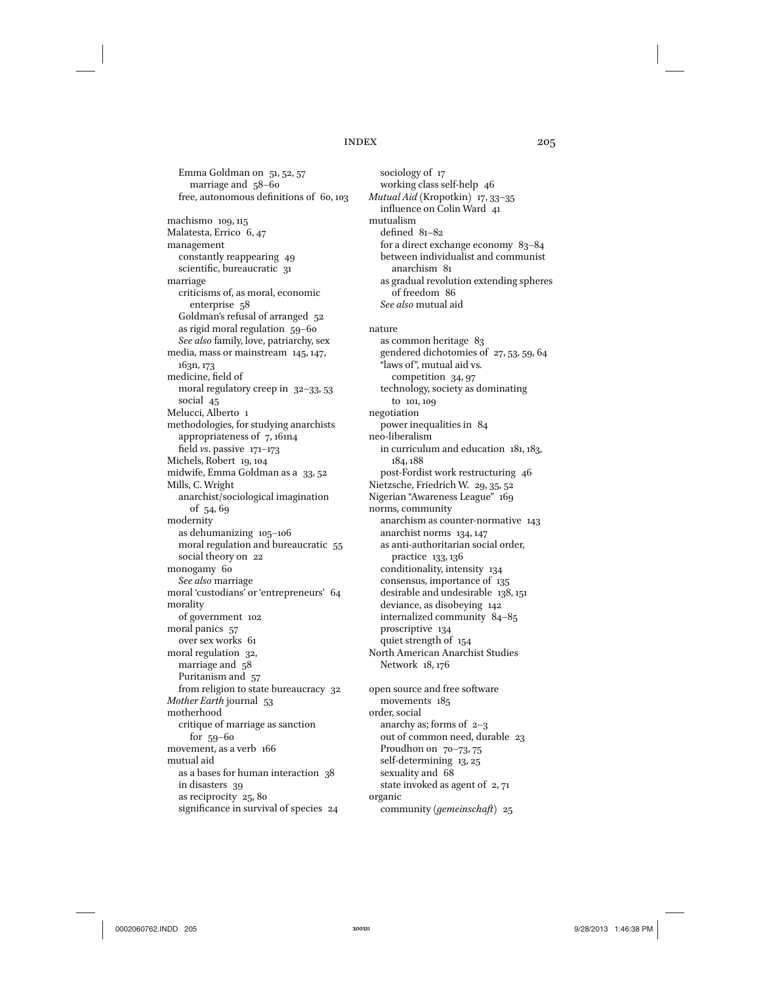Emma Goldman on 51, 52, 57 marriage and 58–60 free, autonomous definitions of 60, 103 machismo 109, 115 Malatesta, Errico 6, 47 management constantly reappearing 49 scientific, bureaucratic 31 marriage criticisms of, as moral, economic enterprise 58 Goldman's refusal of arranged 52 as rigid moral regulation 59–60 *See also* family, love, patriarchy, sex media, mass or mainstream 145, 147, 163n, 173 medicine, field of moral regulatory creep in 32–33, 53 social 45 Melucci, Alberto 1 methodologies, for studying anarchists appropriateness of 7, 161n4 field *vs*. passive 171–173 Michels, Robert 19, 104 midwife, Emma Goldman as a 33, 52 Mills, C. Wright anarchist/sociological imagination of 54, 69 modernity as dehumanizing 105–106 moral regulation and bureaucratic 55 social theory on 22 monogamy 60 *See also* marriage moral 'custodians' or 'entrepreneurs' 64 morality of government 102 moral panics 57 over sex works 61 moral regulation 32, marriage and 58 Puritanism and 57 from religion to state bureaucracy 32 *Mother Earth* journal 53 motherhood critique of marriage as sanction for 59–60 movement, as a verb 166 mutual aid as a bases for human interaction 38 in disasters 39 as reciprocity 25, 80 significance in survival of species 24

sociology of 17 working class self-help 46 *Mutual Aid* (Kropotkin) 17, 33–35 influence on Colin Ward 41 mutualism defined 81–82 for a direct exchange economy 83–84 between individualist and communist anarchism 81 as gradual revolution extending spheres of freedom 86 *See also* mutual aid nature as common heritage 83 gendered dichotomies of 27, 53, 59, 64 "laws of", mutual aid vs. competition 34, 97 technology, society as dominating to 101, 109 negotiation power inequalities in 84 neo-liberalism in curriculum and education 181, 183, 184, 188 post-Fordist work restructuring 46 Nietzsche, Friedrich W. 29, 35, 52 Nigerian "Awareness League" 169 norms, community anarchism as counter-normative 143 anarchist norms 134, 147 as anti-authoritarian social order, practice 133, 136 conditionality, intensity 134 consensus, importance of 135 desirable and undesirable 138, 151 deviance, as disobeying 142 internalized community 84–85 proscriptive 134 quiet strength of 154 North American Anarchist Studies Network 18, 176 open source and free software movements 185 order, social anarchy as; forms of  $2-3$ out of common need, durable 23 Proudhon on 70–73, 75 self-determining 13, 25 sexuality and 68 state invoked as agent of 2, 71 organic

community (*gemeinschaft*) 25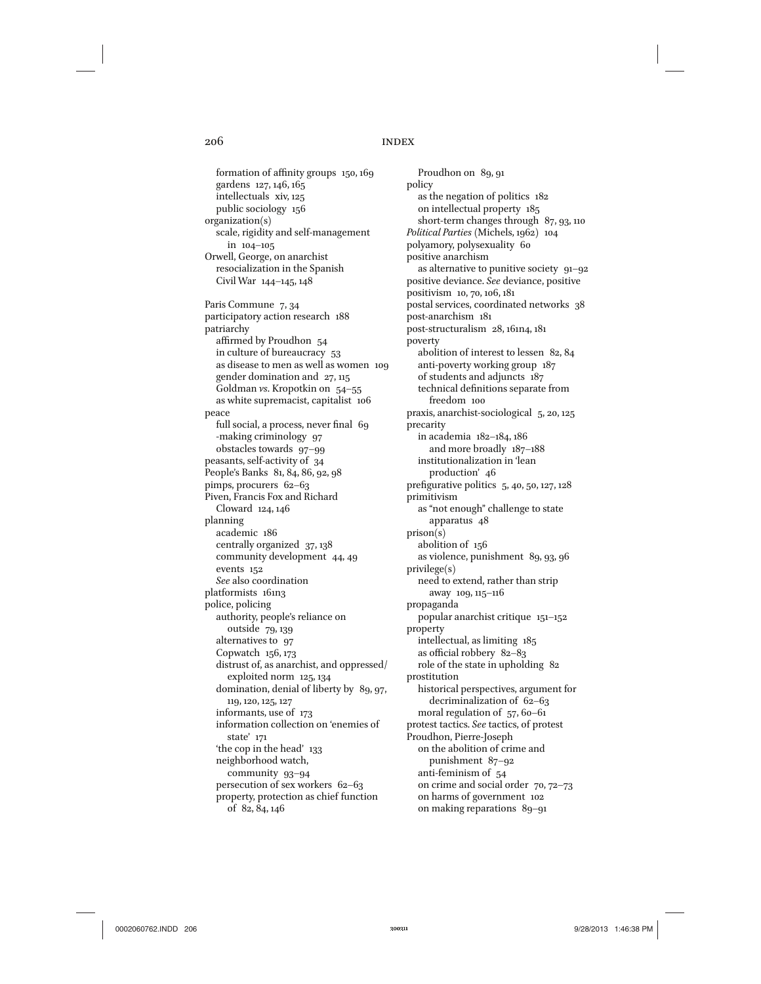formation of affinity groups 150, 169 gardens 127, 146, 165 intellectuals xiv, 125 public sociology 156 organization(s) scale, rigidity and self-management in 104–105 Orwell, George, on anarchist resocialization in the Spanish Civil War 144–145, 148 Paris Commune 7, 34 participatory action research 188 patriarchy affirmed by Proudhon 54 in culture of bureaucracy 53 as disease to men as well as women 109 gender domination and 27, 115 Goldman *vs*. Kropotkin on 54–55 as white supremacist, capitalist 106 peace full social, a process, never final 69 -making criminology 97 obstacles towards 97–99 peasants, self-activity of 34 People's Banks 81, 84, 86, 92, 98 pimps, procurers 62–63 Piven, Francis Fox and Richard Cloward 124, 146 planning academic 186 centrally organized 37, 138 community development 44, 49 events 152 *See* also coordination platformists 161n3 police, policing authority, people's reliance on outside 79, 139 alternatives to 97 Copwatch 156, 173 distrust of, as anarchist, and oppressed/ exploited norm 125, 134 domination, denial of liberty by 89, 97, 119, 120, 125, 127 informants, use of 173 information collection on 'enemies of state' 171 'the cop in the head' 133 neighborhood watch, community 93–94 persecution of sex workers 62–63 property, protection as chief function of 82, 84, 146

Proudhon on 89, 91 policy as the negation of politics 182 on intellectual property 185 short-term changes through 87, 93, 110 *Political Parties* (Michels, 1962) 104 polyamory, polysexuality 60 positive anarchism as alternative to punitive society 91–92 positive deviance. *See* deviance, positive positivism 10, 70, 106, 181 postal services, coordinated networks 38 post-anarchism 181 post-structuralism 28, 161n4, 181 poverty abolition of interest to lessen 82, 84 anti-poverty working group 187 of students and adjuncts 187 technical definitions separate from freedom 100 praxis, anarchist-sociological 5, 20, 125 precarity in academia 182–184, 186 and more broadly 187–188 institutionalization in 'lean production' 46 prefigurative politics 5, 40, 50, 127, 128 primitivism as "not enough" challenge to state apparatus 48 prison(s) abolition of 156 as violence, punishment 89, 93, 96 privilege(s) need to extend, rather than strip away 109, 115–116 propaganda popular anarchist critique 151–152 property intellectual, as limiting 185 as official robbery 82–83 role of the state in upholding 82 prostitution historical perspectives, argument for decriminalization of 62–63 moral regulation of 57, 60–61 protest tactics. *See* tactics, of protest Proudhon, Pierre-Joseph on the abolition of crime and punishment 87–92 anti-feminism of 54 on crime and social order 70, 72–73 on harms of government 102 on making reparations 89–91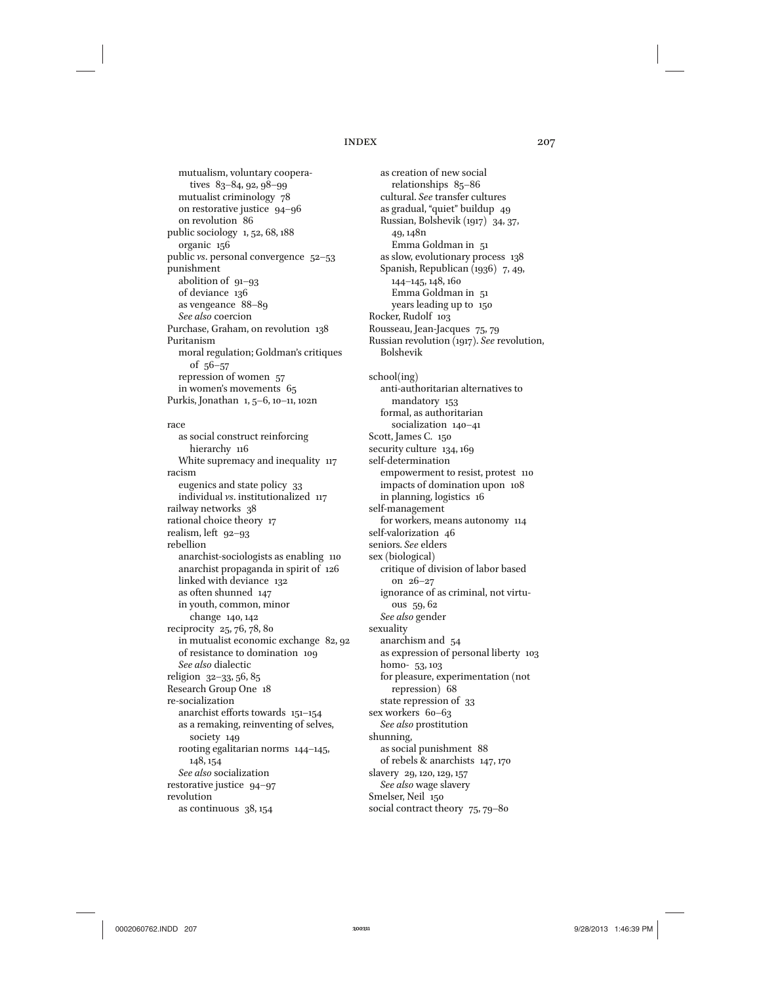mutualism, voluntary cooperatives 83–84, 92, 98–99 mutualist criminology 78 on restorative justice 94–96 on revolution 86 public sociology 1, 52, 68, 188 organic 156 public *vs*. personal convergence 52–53 punishment abolition of 91–93 of deviance 136 as vengeance 88–89 *See also* coercion Purchase, Graham, on revolution 138 Puritanism moral regulation; Goldman's critiques of 56–57 repression of women 57 in women's movements 65 Purkis, Jonathan 1, 5–6, 10–11, 102n

# race

as social construct reinforcing hierarchy 116 White supremacy and inequality 117 racism eugenics and state policy 33 individual *vs*. institutionalized 117 railway networks 38 rational choice theory 17 realism, left 92–93 rebellion anarchist-sociologists as enabling 110 anarchist propaganda in spirit of 126 linked with deviance 132 as often shunned 147 in youth, common, minor change 140, 142 reciprocity 25, 76, 78, 80 in mutualist economic exchange 82, 92 of resistance to domination 109 *See also* dialectic religion 32–33, 56, 85 Research Group One 18 re-socialization anarchist efforts towards 151–154 as a remaking, reinventing of selves, society 149 rooting egalitarian norms 144–145, 148, 154 *See also* socialization restorative justice 94–97 revolution as continuous 38, 154

as creation of new social relationships 85–86 cultural. *See* transfer cultures as gradual, "quiet" buildup 49 Russian, Bolshevik (1917) 34, 37, 49, 148n Emma Goldman in 51 as slow, evolutionary process 138 Spanish, Republican (1936) 7, 49, 144–145, 148, 160 Emma Goldman in 51 years leading up to 150 Rocker, Rudolf 103 Rousseau, Jean-Jacques 75, 79 Russian revolution (1917). *See* revolution, Bolshevik school(ing) anti-authoritarian alternatives to mandatory 153 formal, as authoritarian socialization 140–41 Scott, James C. 150 security culture 134, 169 self-determination empowerment to resist, protest 110 impacts of domination upon 108 in planning, logistics 16 self-management for workers, means autonomy 114 self-valorization 46 seniors. *See* elders sex (biological) critique of division of labor based on 26–27 ignorance of as criminal, not virtuous 59, 62 *See also* gender sexuality anarchism and 54 as expression of personal liberty 103 homo- 53, 103 for pleasure, experimentation (not repression) 68 state repression of 33 sex workers 60–63 *See also* prostitution shunning, as social punishment 88 of rebels & anarchists 147, 170 slavery 29, 120, 129, 157 *See also* wage slavery Smelser, Neil 150 social contract theory 75, 79–80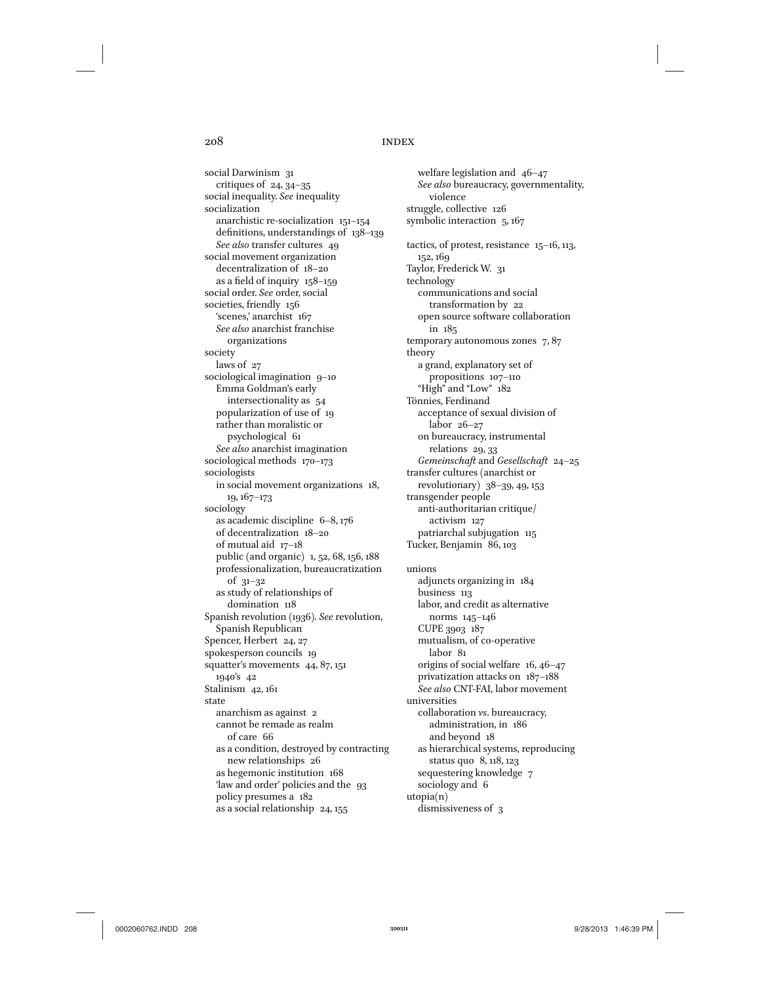social Darwinism 31 critiques of 24, 34–35 social inequality. *See* inequality socialization anarchistic re-socialization 151–154 definitions, understandings of 138–139 *See also* transfer cultures 49 social movement organization decentralization of 18–20 as a field of inquiry 158–159 social order. *See* order, social societies, friendly 156 'scenes,' anarchist 167 *See also* anarchist franchise organizations society laws of 27 sociological imagination 9-10 Emma Goldman's early intersectionality as 54 popularization of use of 19 rather than moralistic or psychological 61 *See also* anarchist imagination sociological methods 170–173 sociologists in social movement organizations 18, 19, 167–173 sociology as academic discipline 6–8, 176 of decentralization 18–20 of mutual aid 17–18 public (and organic) 1, 52, 68, 156, 188 professionalization, bureaucratization of 31–32 as study of relationships of domination 118 Spanish revolution (1936). *See* revolution, Spanish Republican Spencer, Herbert 24, 27 spokesperson councils 19 squatter's movements 44, 87, 151 1940's 42 Stalinism 42, 161 state anarchism as against 2 cannot be remade as realm of care 66 as a condition, destroyed by contracting new relationships 26 as hegemonic institution 168 'law and order' policies and the 93 policy presumes a 182 as a social relationship 24, 155

welfare legislation and 46–47 *See also* bureaucracy, governmentality, violence struggle, collective 126 symbolic interaction 5, 167 tactics, of protest, resistance 15–16, 113, 152, 169 Taylor, Frederick W. 31 technology communications and social transformation by 22 open source software collaboration in 185 temporary autonomous zones 7, 87 theory a grand, explanatory set of propositions 107–110 "High" and "Low" 182 Tönnies, Ferdinand acceptance of sexual division of labor 26–27 on bureaucracy, instrumental relations 29, 33 *Gemeinschaft* and *Gesellschaft* 24–25 transfer cultures (anarchist or revolutionary) 38–39, 49, 153 transgender people anti-authoritarian critique/ activism 127 patriarchal subjugation 115 Tucker, Benjamin 86, 103 unions adjuncts organizing in 184 business 113 labor, and credit as alternative norms 145–146 CUPE 3903 187 mutualism, of co-operative labor 81 origins of social welfare 16, 46–47 privatization attacks on 187–188 *See also* CNT-FAI, labor movement universities collaboration *vs*. bureaucracy, administration, in 186 and beyond 18 as hierarchical systems, reproducing status quo 8, 118, 123 sequestering knowledge 7 sociology and 6 utopia(n) dismissiveness of 3